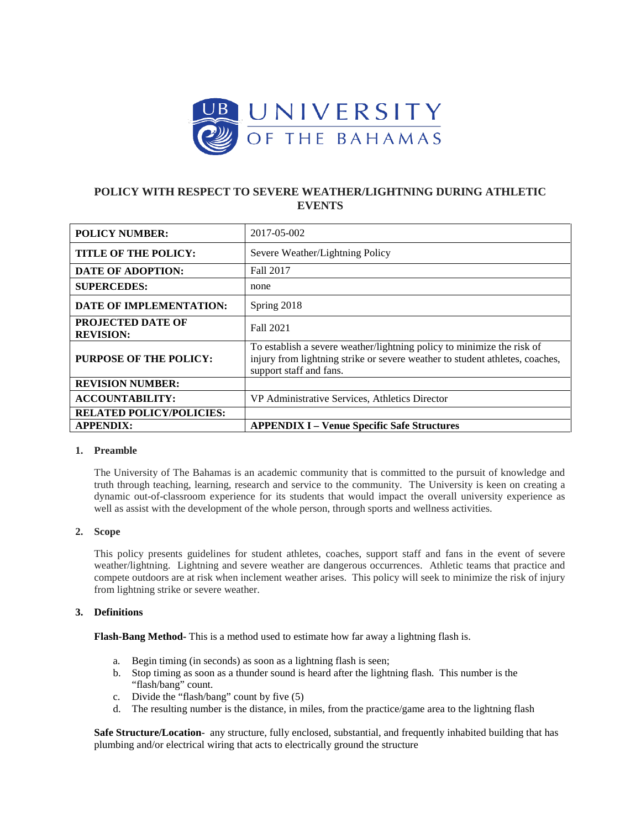

# **POLICY WITH RESPECT TO SEVERE WEATHER/LIGHTNING DURING ATHLETIC EVENTS**

| <b>POLICY NUMBER:</b>                        | 2017-05-002                                                                                                                                                                       |
|----------------------------------------------|-----------------------------------------------------------------------------------------------------------------------------------------------------------------------------------|
| <b>TITLE OF THE POLICY:</b>                  | Severe Weather/Lightning Policy                                                                                                                                                   |
| <b>DATE OF ADOPTION:</b>                     | Fall 2017                                                                                                                                                                         |
| <b>SUPERCEDES:</b>                           | none                                                                                                                                                                              |
| DATE OF IMPLEMENTATION:                      | Spring 2018                                                                                                                                                                       |
| <b>PROJECTED DATE OF</b><br><b>REVISION:</b> | Fall 2021                                                                                                                                                                         |
| <b>PURPOSE OF THE POLICY:</b>                | To establish a severe weather/lightning policy to minimize the risk of<br>injury from lightning strike or severe weather to student athletes, coaches,<br>support staff and fans. |
| <b>REVISION NUMBER:</b>                      |                                                                                                                                                                                   |
| <b>ACCOUNTABILITY:</b>                       | VP Administrative Services, Athletics Director                                                                                                                                    |
| <b>RELATED POLICY/POLICIES:</b>              |                                                                                                                                                                                   |
| <b>APPENDIX:</b>                             | <b>APPENDIX I - Venue Specific Safe Structures</b>                                                                                                                                |

## **1. Preamble**

The University of The Bahamas is an academic community that is committed to the pursuit of knowledge and truth through teaching, learning, research and service to the community. The University is keen on creating a dynamic out-of-classroom experience for its students that would impact the overall university experience as well as assist with the development of the whole person, through sports and wellness activities.

#### **2. Scope**

This policy presents guidelines for student athletes, coaches, support staff and fans in the event of severe weather/lightning. Lightning and severe weather are dangerous occurrences. Athletic teams that practice and compete outdoors are at risk when inclement weather arises. This policy will seek to minimize the risk of injury from lightning strike or severe weather.

#### **3. Definitions**

**Flash-Bang Method-** This is a method used to estimate how far away a lightning flash is.

- a. Begin timing (in seconds) as soon as a lightning flash is seen;
- b. Stop timing as soon as a thunder sound is heard after the lightning flash. This number is the "flash/bang" count.
- c. Divide the "flash/bang" count by five (5)
- d. The resulting number is the distance, in miles, from the practice/game area to the lightning flash

**Safe Structure/Location**- any structure, fully enclosed, substantial, and frequently inhabited building that has plumbing and/or electrical wiring that acts to electrically ground the structure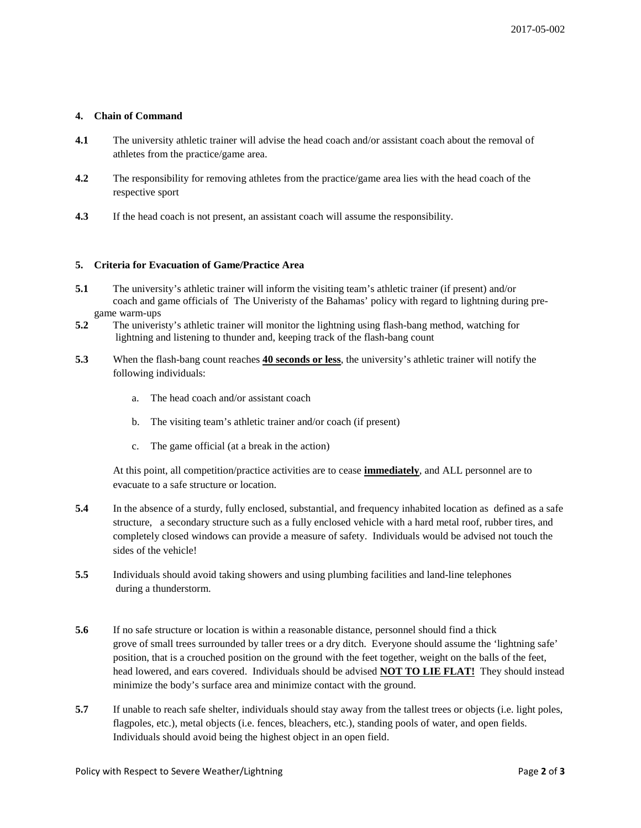# **4. Chain of Command**

- **4.1** The university athletic trainer will advise the head coach and/or assistant coach about the removal of athletes from the practice/game area.
- **4.2** The responsibility for removing athletes from the practice/game area lies with the head coach of the respective sport
- **4.3** If the head coach is not present, an assistant coach will assume the responsibility.

## **5. Criteria for Evacuation of Game/Practice Area**

- **5.1** The university's athletic trainer will inform the visiting team's athletic trainer (if present) and/or coach and game officials of The Univeristy of the Bahamas' policy with regard to lightning during pregame warm-ups
- **5.2** The univeristy's athletic trainer will monitor the lightning using flash-bang method, watching for lightning and listening to thunder and, keeping track of the flash-bang count
- **5.3** When the flash-bang count reaches **40 seconds or less**, the university's athletic trainer will notify the following individuals:
	- a. The head coach and/or assistant coach
	- b. The visiting team's athletic trainer and/or coach (if present)
	- c. The game official (at a break in the action)

At this point, all competition/practice activities are to cease **immediately**, and ALL personnel are to evacuate to a safe structure or location.

- **5.4** In the absence of a sturdy, fully enclosed, substantial, and frequency inhabited location as defined as a safe structure, a secondary structure such as a fully enclosed vehicle with a hard metal roof, rubber tires, and completely closed windows can provide a measure of safety. Individuals would be advised not touch the sides of the vehicle!
- **5.5** Individuals should avoid taking showers and using plumbing facilities and land-line telephones during a thunderstorm.
- **5.6** If no safe structure or location is within a reasonable distance, personnel should find a thick grove of small trees surrounded by taller trees or a dry ditch. Everyone should assume the 'lightning safe' position, that is a crouched position on the ground with the feet together, weight on the balls of the feet, head lowered, and ears covered. Individuals should be advised **NOT TO LIE FLAT!** They should instead minimize the body's surface area and minimize contact with the ground.
- **5.7** If unable to reach safe shelter, individuals should stay away from the tallest trees or objects (i.e. light poles, flagpoles, etc.), metal objects (i.e. fences, bleachers, etc.), standing pools of water, and open fields. Individuals should avoid being the highest object in an open field.